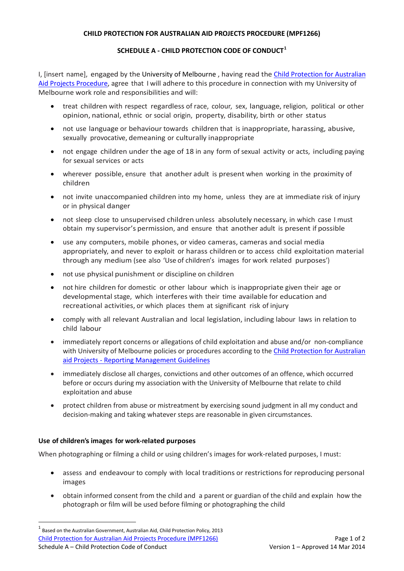# **CHILD PROTECTION FOR AUSTRALIAN AID PROJECTS PROCEDURE (MPF1266)**

# **SCHEDULE A - CHILD PROTECTION CODE OF CONDUCT[1](#page-0-0)**

I, [insert name], engaged by the University of Melbourne , having read the [Child Protection for Australian](http://policy.unimelb.edu.au/MPF1266)  Aid [Projects Procedure,](http://policy.unimelb.edu.au/MPF1266) agree that I will adhere to this procedure in connection with my University of Melbourne work role and responsibilities and will:

- treat children with respect regardless of race, colour, sex, language, religion, political or other opinion, national, ethnic or social origin, property, disability, birth or other status
- not use language or behaviour towards children that is inappropriate, harassing, abusive, sexually provocative, demeaning or culturally inappropriate
- not engage children under the age of 18 in any form of sexual activity or acts, including paying for sexual services or acts
- wherever possible, ensure that another adult is present when working in the proximity of children
- not invite unaccompanied children into my home, unless they are at immediate risk of injury or in physical danger
- not sleep close to unsupervised children unless absolutely necessary, in which case I must obtain my supervisor's permission, and ensure that another adult is present if possible
- use any computers, mobile phones, or video cameras, cameras and social media appropriately, and never to exploit or harass children or to access child exploitation material through any medium (see also 'Use of children's images for work related purposes')
- not use physical punishment or discipline on children
- not hire children for domestic or other labour which is inappropriate given their age or developmental stage, which interferes with their time available for education and recreational activities, or which places them at significant risk of injury
- comply with all relevant Australian and local legislation, including labour laws in relation to child labour
- immediately report concerns or allegations of child exploitation and abuse and/or non-compliance with University of Melbourne policies or procedures according to the Child Protection for Australian aid Projects - [Reporting Management Guidelines](http://hr.unimelb.edu.au/__data/assets/pdf_file/0003/971301/CPAAP_Guidelines.pdf)
- immediately disclose all charges, convictions and other outcomes of an offence, which occurred before or occurs during my association with the University of Melbourne that relate to child exploitation and abuse
- protect children from abuse or mistreatment by exercising sound judgment in all my conduct and decision-making and taking whatever steps are reasonable in given circumstances.

## **Use of children'simages for work-related purposes**

When photographing or filming a child or using children's images for work-related purposes, I must:

- assess and endeavour to comply with local traditions or restrictions for reproducing personal images
- obtain informed consent from the child and a parent or guardian of the child and explain how the photograph or film will be used before filming or photographing the child

<span id="page-0-0"></span>[Child Protection for Australian Aid](http://policy.unimelb.edu.au/MPF1266) Projects Procedure (MPF1266) Page 1 of 2 Schedule A – Child Protection Code of Conduct Version 1 – Approved 14 Mar 2014  $<sup>1</sup>$  Based on the Australian Government, Australian Aid, Child Protection Policy, 2013</sup>